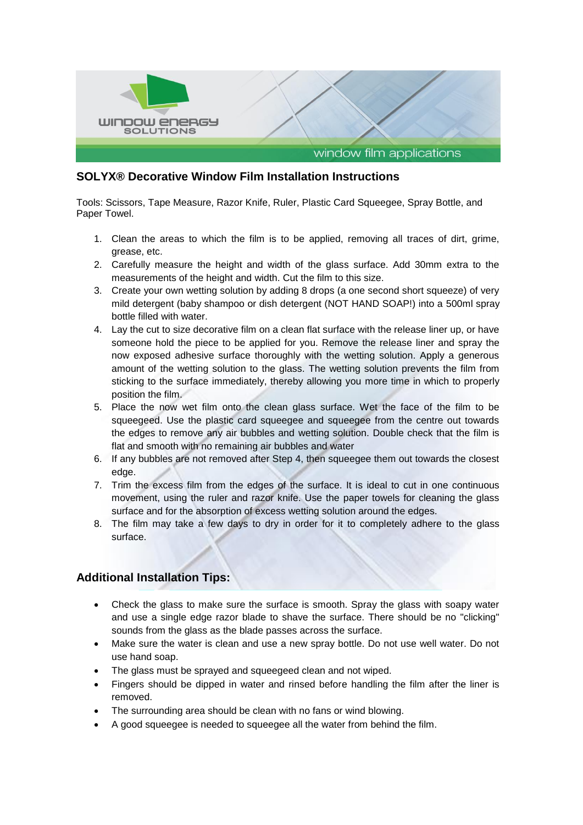

## **SOLYX® Decorative Window Film Installation Instructions**

Tools: Scissors, Tape Measure, Razor Knife, Ruler, Plastic Card Squeegee, Spray Bottle, and Paper Towel.

- 1. Clean the areas to which the film is to be applied, removing all traces of dirt, grime, grease, etc.
- 2. Carefully measure the height and width of the glass surface. Add 30mm extra to the measurements of the height and width. Cut the film to this size.
- 3. Create your own wetting solution by adding 8 drops (a one second short squeeze) of very mild detergent (baby shampoo or dish detergent (NOT HAND SOAP!) into a 500ml spray bottle filled with water.
- 4. Lay the cut to size decorative film on a clean flat surface with the release liner up, or have someone hold the piece to be applied for you. Remove the release liner and spray the now exposed adhesive surface thoroughly with the wetting solution. Apply a generous amount of the wetting solution to the glass. The wetting solution prevents the film from sticking to the surface immediately, thereby allowing you more time in which to properly position the film.
- 5. Place the now wet film onto the clean glass surface. Wet the face of the film to be squeegeed. Use the plastic card squeegee and squeegee from the centre out towards the edges to remove any air bubbles and wetting solution. Double check that the film is flat and smooth with no remaining air bubbles and water
- 6. If any bubbles are not removed after Step 4, then squeegee them out towards the closest edge.
- 7. Trim the excess film from the edges of the surface. It is ideal to cut in one continuous movement, using the ruler and razor knife. Use the paper towels for cleaning the glass surface and for the absorption of excess wetting solution around the edges.
- 8. The film may take a few days to dry in order for it to completely adhere to the glass surface.

## **Additional Installation Tips:**

- Check the glass to make sure the surface is smooth. Spray the glass with soapy water and use a single edge razor blade to shave the surface. There should be no "clicking" sounds from the glass as the blade passes across the surface.
- Make sure the water is clean and use a new spray bottle. Do not use well water. Do not use hand soap.
- The glass must be sprayed and squeegeed clean and not wiped.
- Fingers should be dipped in water and rinsed before handling the film after the liner is removed.
- The surrounding area should be clean with no fans or wind blowing.
- A good squeegee is needed to squeegee all the water from behind the film.